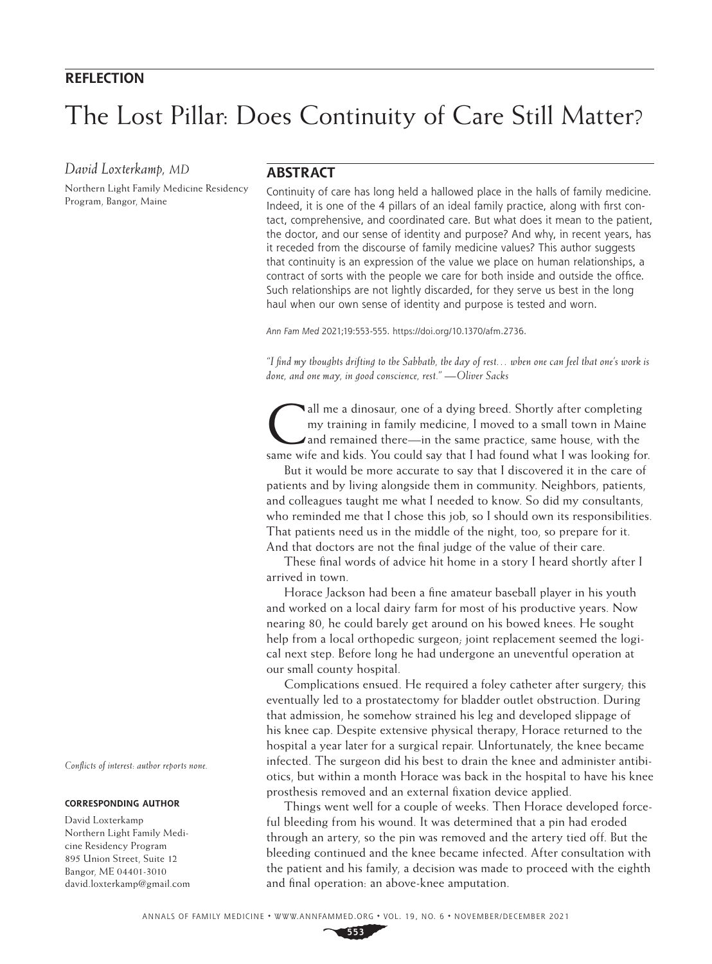## **REFLECTION**

# The Lost Pillar: Does Continuity of Care Still Matter?

## *David Loxterkamp, MD*

Northern Light Family Medicine Residency Program, Bangor, Maine

## **ABSTRACT**

Continuity of care has long held a hallowed place in the halls of family medicine. Indeed, it is one of the 4 pillars of an ideal family practice, along with first contact, comprehensive, and coordinated care. But what does it mean to the patient, the doctor, and our sense of identity and purpose? And why, in recent years, has it receded from the discourse of family medicine values? This author suggests that continuity is an expression of the value we place on human relationships, a contract of sorts with the people we care for both inside and outside the office. Such relationships are not lightly discarded, for they serve us best in the long haul when our own sense of identity and purpose is tested and worn.

*Ann Fam Med* 2021;19:553-555. [https://doi.org/10.1370/afm.2736.](https://doi.org/10.1370/afm.2736)

*"I find my thoughts drifting to the Sabbath, the day of rest… when one can feel that one's work is done, and one may, in good conscience, rest." —Oliver Sacks*

all me a dinosaur, one of a dying breed. Shortly after completing my training in family medicine, I moved to a small town in Maine and remained there—in the same practice, same house, with the same wife and kids. You could say that I had found what I was looking for.

But it would be more accurate to say that I discovered it in the care of patients and by living alongside them in community. Neighbors, patients, and colleagues taught me what I needed to know. So did my consultants, who reminded me that I chose this job, so I should own its responsibilities. That patients need us in the middle of the night, too, so prepare for it. And that doctors are not the final judge of the value of their care.

These final words of advice hit home in a story I heard shortly after I arrived in town.

Horace Jackson had been a fine amateur baseball player in his youth and worked on a local dairy farm for most of his productive years. Now nearing 80, he could barely get around on his bowed knees. He sought help from a local orthopedic surgeon; joint replacement seemed the logical next step. Before long he had undergone an uneventful operation at our small county hospital.

Complications ensued. He required a foley catheter after surgery; this eventually led to a prostatectomy for bladder outlet obstruction. During that admission, he somehow strained his leg and developed slippage of his knee cap. Despite extensive physical therapy, Horace returned to the hospital a year later for a surgical repair. Unfortunately, the knee became infected. The surgeon did his best to drain the knee and administer antibiotics, but within a month Horace was back in the hospital to have his knee prosthesis removed and an external fixation device applied.

Things went well for a couple of weeks. Then Horace developed forceful bleeding from his wound. It was determined that a pin had eroded through an artery, so the pin was removed and the artery tied off. But the bleeding continued and the knee became infected. After consultation with the patient and his family, a decision was made to proceed with the eighth and final operation: an above-knee amputation.

*Conflicts of interest: author reports none.*

#### **CORRESPONDING AUTHOR**

David Loxterkamp Northern Light Family Medicine Residency Program 895 Union Street, Suite 12 Bangor, ME 04401-3010 [david.loxterkamp@gmail.com](mailto:david.loxterkamp%40gmail.com?subject=)

**553**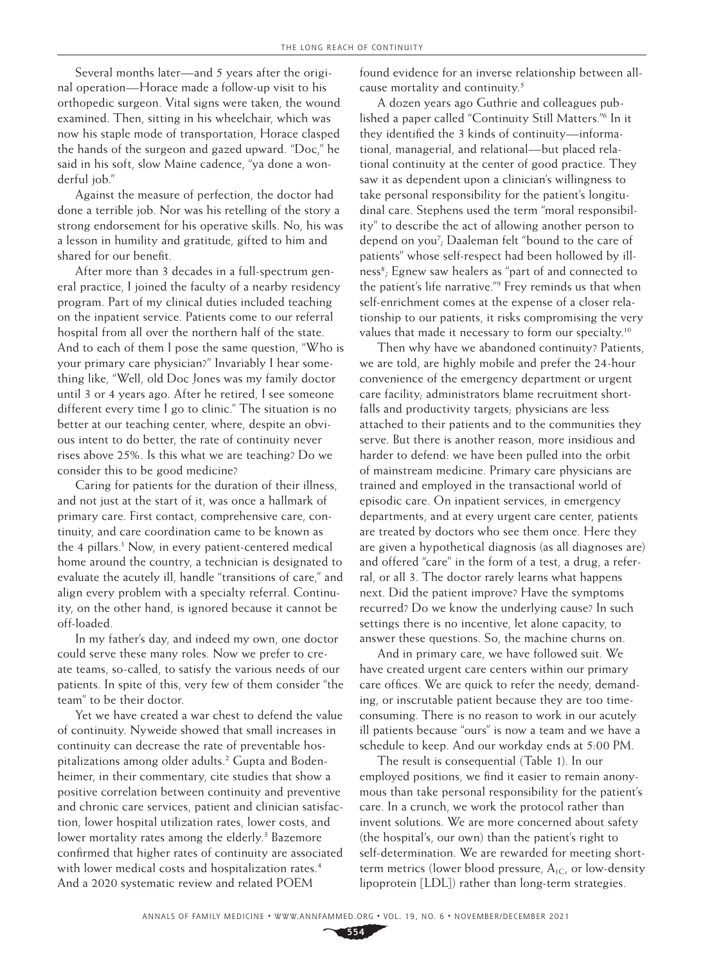Several months later—and 5 years after the original operation—Horace made a follow-up visit to his orthopedic surgeon. Vital signs were taken, the wound examined. Then, sitting in his wheelchair, which was now his staple mode of transportation, Horace clasped the hands of the surgeon and gazed upward. "Doc," he said in his soft, slow Maine cadence, "ya done a wonderful job."

Against the measure of perfection, the doctor had done a terrible job. Nor was his retelling of the story a strong endorsement for his operative skills. No, his was a lesson in humility and gratitude, gifted to him and shared for our benefit.

After more than 3 decades in a full-spectrum general practice, I joined the faculty of a nearby residency program. Part of my clinical duties included teaching on the inpatient service. Patients come to our referral hospital from all over the northern half of the state. And to each of them I pose the same question, "Who is your primary care physician?" Invariably I hear something like, "Well, old Doc Jones was my family doctor until 3 or 4 years ago. After he retired, I see someone different every time I go to clinic." The situation is no better at our teaching center, where, despite an obvious intent to do better, the rate of continuity never rises above 25%. Is this what we are teaching? Do we consider this to be good medicine?

Caring for patients for the duration of their illness, and not just at the start of it, was once a hallmark of primary care. First contact, comprehensive care, continuity, and care coordination came to be known as the 4 pillars.<sup>1</sup> Now, in every patient-centered medical home around the country, a technician is designated to evaluate the acutely ill, handle "transitions of care," and align every problem with a specialty referral. Continuity, on the other hand, is ignored because it cannot be off-loaded.

In my father's day, and indeed my own, one doctor could serve these many roles. Now we prefer to create teams, so-called, to satisfy the various needs of our patients. In spite of this, very few of them consider "the team" to be their doctor.

Yet we have created a war chest to defend the value of continuity. Nyweide showed that small increases in continuity can decrease the rate of preventable hospitalizations among older adults.2 Gupta and Bodenheimer, in their commentary, cite studies that show a positive correlation between continuity and preventive and chronic care services, patient and clinician satisfaction, lower hospital utilization rates, lower costs, and lower mortality rates among the elderly.<sup>3</sup> Bazemore confirmed that higher rates of continuity are associated with lower medical costs and hospitalization rates.<sup>4</sup> And a 2020 systematic review and related POEM

found evidence for an inverse relationship between allcause mortality and continuity.5

A dozen years ago Guthrie and colleagues published a paper called "Continuity Still Matters."6 In it they identified the 3 kinds of continuity—informational, managerial, and relational—but placed relational continuity at the center of good practice. They saw it as dependent upon a clinician's willingness to take personal responsibility for the patient's longitudinal care. Stephens used the term "moral responsibility" to describe the act of allowing another person to depend on you7 ; Daaleman felt "bound to the care of patients" whose self-respect had been hollowed by illness<sup>8</sup>; Egnew saw healers as "part of and connected to the patient's life narrative."9 Frey reminds us that when self-enrichment comes at the expense of a closer relationship to our patients, it risks compromising the very values that made it necessary to form our specialty.<sup>10</sup>

Then why have we abandoned continuity? Patients, we are told, are highly mobile and prefer the 24-hour convenience of the emergency department or urgent care facility; administrators blame recruitment shortfalls and productivity targets; physicians are less attached to their patients and to the communities they serve. But there is another reason, more insidious and harder to defend: we have been pulled into the orbit of mainstream medicine. Primary care physicians are trained and employed in the transactional world of episodic care. On inpatient services, in emergency departments, and at every urgent care center, patients are treated by doctors who see them once. Here they are given a hypothetical diagnosis (as all diagnoses are) and offered "care" in the form of a test, a drug, a referral, or all 3. The doctor rarely learns what happens next. Did the patient improve? Have the symptoms recurred? Do we know the underlying cause? In such settings there is no incentive, let alone capacity, to answer these questions. So, the machine churns on.

And in primary care, we have followed suit. We have created urgent care centers within our primary care offices. We are quick to refer the needy, demanding, or inscrutable patient because they are too timeconsuming. There is no reason to work in our acutely ill patients because "ours" is now a team and we have a schedule to keep. And our workday ends at 5:00 PM.

The result is consequential (Table 1). In our employed positions, we find it easier to remain anonymous than take personal responsibility for the patient's care. In a crunch, we work the protocol rather than invent solutions. We are more concerned about safety (the hospital's, our own) than the patient's right to self-determination. We are rewarded for meeting shortterm metrics (lower blood pressure,  $A_{1C}$ , or low-density lipoprotein [LDL]) rather than long-term strategies.

**554**